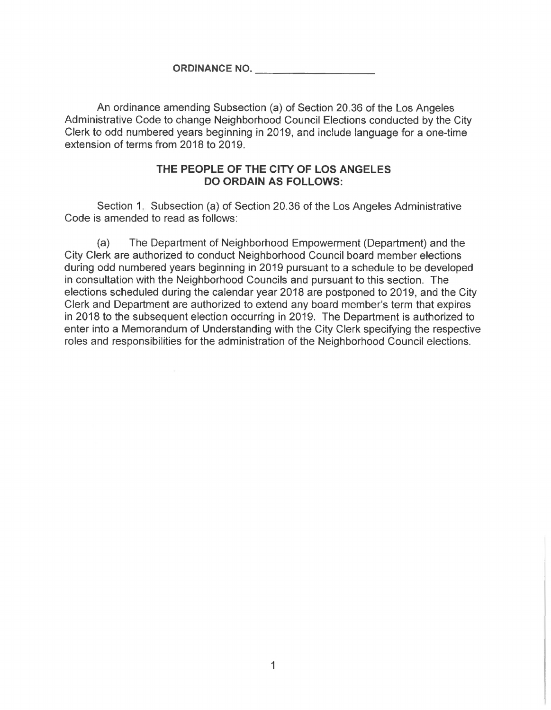**ORDINANCE NO.**

An ordinance amending Subsection (a) of Section 20.36 of the Los Angeles Administrative Code to change Neighborhood Council Elections conducted by the City Clerk to odd numbered years beginning in 2019, and include language for a one-time extension of terms from 2018 to 2019.

## **THE PEOPLE OF THE CITY OF LOS ANGELES DO ORDAIN AS FOLLOWS:**

Section 1. Subsection (a) of Section 20.36 of the Los Angeles Administrative Code is amended to read as follows:

The Department of Neighborhood Empowerment (Department) and the City Clerk are authorized to conduct Neighborhood Council board member elections during odd numbered years beginning in 2019 pursuant to a schedule to be developed in consultation with the Neighborhood Councils and pursuant to this section. The elections scheduled during the calendar year 2018 are postponed to 2019, and the City Clerk and Department are authorized to extend any board member's term that expires in 2018 to the subsequent election occurring in 2019. The Department is authorized to enter into a Memorandum of Understanding with the City Clerk specifying the respective roles and responsibilities for the administration of the Neighborhood Council elections. (a)